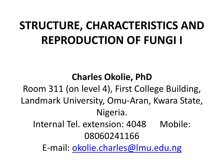## **STRUCTURE, CHARACTERISTICS AND REPRODUCTION OF FUNGI I**

**Charles Okolie, PhD** Room 311 (on level 4), First College Building, Landmark University, Omu-Aran, Kwara State, Nigeria. Internal Tel. extension: 4048 Mobile: 08060241166 E-mail: [okolie.charles@lmu.edu.ng](mailto:okolie.charles@lmu.edu.ng)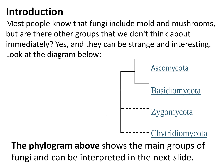#### **Introduction**

Most people know that fungi include mold and mushrooms, but are there other groups that we don't think about immediately? Yes, and they can be strange and interesting. Look at the diagram below:



**The phylogram above** shows the main groups of fungi and can be interpreted in the next slide.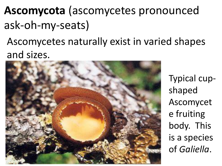## **Ascomycota** (ascomycetes pronounced ask-oh-my-seats)

#### Ascomycetes naturally exist in varied shapes and sizes.



Typical cupshaped Ascomycet e fruiting body. This is a species of *Galiella*.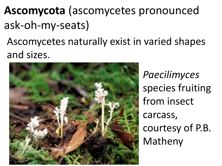## **Ascomycota** (ascomycetes pronounced ask-oh-my-seats)

#### Ascomycetes naturally exist in varied shapes and sizes.



*Paecilimyces* species fruiting from insect carcass, courtesy of P.B. Matheny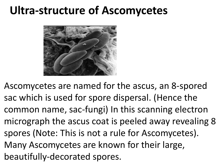### **Ultra-structure of Ascomycetes**



Ascomycetes are named for the ascus, an 8-spored sac which is used for spore dispersal. (Hence the common name, sac-fungi) In this scanning electron micrograph the ascus coat is peeled away revealing 8 spores (Note: This is not a rule for Ascomycetes). Many Ascomycetes are known for their large, beautifully-decorated spores.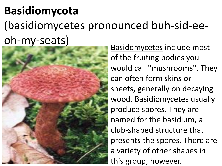## **Basidiomycota** (basidiomycetes pronounced buh-sid-eeoh-my-seats)



Basidomycetes include most of the fruiting bodies you would call "mushrooms". They can often form skins or sheets, generally on decaying wood. Basidiomycetes usually produce spores. They are named for the basidium, a club-shaped structure that presents the spores. There are a variety of other shapes in this group, however.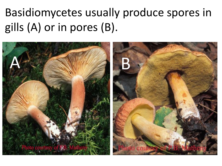## Basidiomycetes usually produce spores in gills (A) or in pores (B).

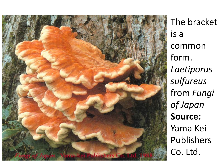

The bracket is a common form. *Laetiporus sulfureus* from *Fungi of Japan* **Source:** Yama Kei Publishers Co. Ltd.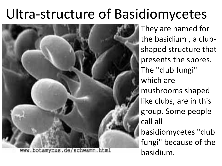# Ultra-structure of Basidiomycetes



They are named for the basidium , a clubshaped structure that presents the spores. The "club fungi" which are mushrooms shaped like clubs, are in this group. Some people call all basidiomycetes "club fungi" because of the basidium.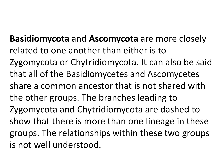**Basidiomycota** and **Ascomycota** are more closely related to one another than either is to Zygomycota or Chytridiomycota. It can also be said that all of the Basidiomycetes and Ascomycetes share a common ancestor that is not shared with the other groups. The branches leading to Zygomycota and Chytridiomycota are dashed to show that there is more than one lineage in these groups. The relationships within these two groups is not well understood.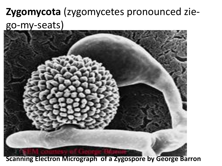### **Zygomycota** (zygomycetes pronounced ziego-my-seats)



**Scanning Electron Micrograph of a Zygospore by George Barron**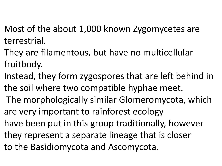- Most of the about 1,000 known Zygomycetes are terrestrial.
- They are filamentous, but have no multicellular fruitbody.
- Instead, they form zygospores that are left behind in the soil where two compatible hyphae meet.
- The morphologically similar Glomeromycota, which are very important to rainforest ecology
- have been put in this group traditionally, however
- they represent a separate lineage that is closer
- to the Basidiomycota and Ascomycota.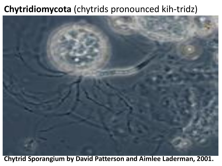#### **Chytridiomycota** (chytrids pronounced kih-tridz)



**Chytrid Sporangium by David Patterson and Aimlee Laderman, 2001.**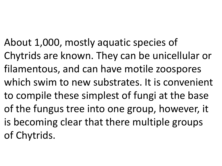About 1,000, mostly aquatic species of Chytrids are known. They can be unicellular or filamentous, and can have motile zoospores which swim to new substrates. It is convenient to compile these simplest of fungi at the base of the fungus tree into one group, however, it is becoming clear that there multiple groups of Chytrids.